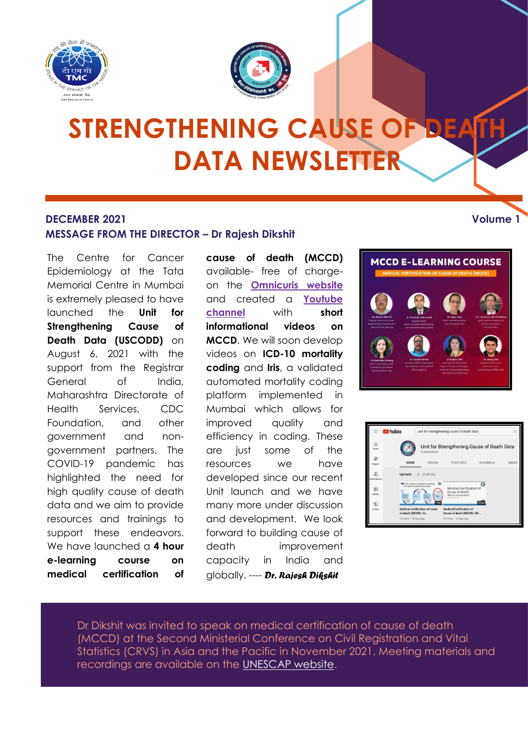



# **STRENGTHENING CAUSE OF DEA DATA NEWSLETTER**

#### **DECEMBER 2021 Volume 1 MESSAGE FROM THE DIRECTOR – Dr Rajesh Dikshit**

The Centre for Cancer Epidemiology at the Tata Memorial Centre in Mumbai is extremely pleased to have launched the **Unit for Strengthening Cause of Death Data (USCODD)** on August 6, 2021 with the support from the Reaistrar General of India, Maharashtra Directorate of Health Services, CDC Foundation, and other government and nongovernment partners. The COVID-19 pandemic has highlighted the need for high quality cause of death data and we aim to provide resources and trainings to support these endeavors. We have launched a **4 hour e-learning course on medical certification of** **cause of death (MCCD)** available- free of chargeon the **[Omnicuris website](https://www.omnicuris.com/academics/medical-certification-of-cause-of-death)** and created a **[Youtube](https://www.youtube.com/channel/UCYVdLsHJa6_ZXmQQk4_m2eA/featured)  [channel](https://www.youtube.com/channel/UCYVdLsHJa6_ZXmQQk4_m2eA/featured)** with **short informational videos on MCCD**. We will soon develop videos on **ICD-10 mortality coding** and **Iris**, a validated automated mortality coding platform implemented in Mumbai which allows for improved quality and efficiency in coding. These are just some of the resources we have developed since our recent Unit launch and we have many more under discussion and development. We look forward to building cause of death improvement capacity in India and globally. ---- *Dr. Rajesh Dikshit*





Dr Dikshit was invited to speak on medical certification of cause of death (MCCD) at the Second Ministerial Conference on Civil Registration and Vital Statistics (CRVS) in Asia and the Pacific in November 2021. Meeting materials and formatting of selected text in recordings are available on the <mark>UNESCAP website</mark>.

choosing a look for the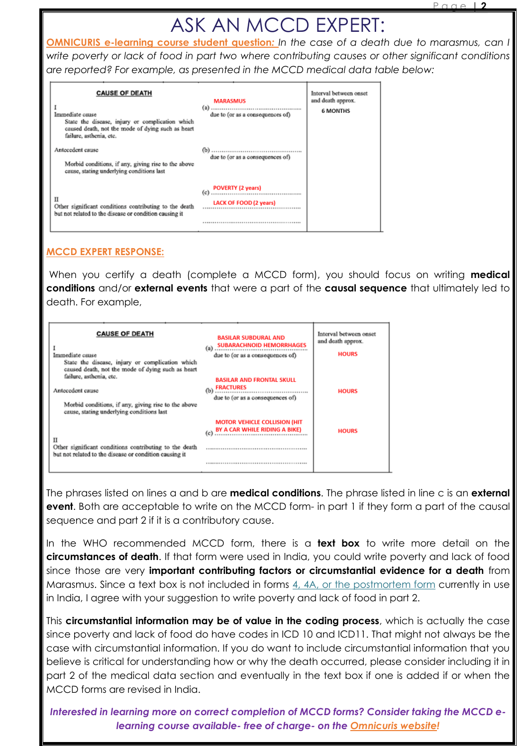### ASK AN MCCD EXPERT:

**OMNICURIS e-learning course student question***: In the case of a death due to marasmus, can I write poverty or lack of food in part two where contributing causes or other significant conditions are reported? For example, as presented in the MCCD medical data table below:*

| <b>CAUSE OF DEATH</b><br>Immediate cause<br>State the disease, injury or complication which<br>caused death, not the mode of dying such as heart<br>failure, asthenia, etc. | <b>MARASMUS</b><br>due to (or as a consequences of)              | Interval between onset<br>and death approx.<br><b>6 MONTHS</b> |
|-----------------------------------------------------------------------------------------------------------------------------------------------------------------------------|------------------------------------------------------------------|----------------------------------------------------------------|
| Antecedent cause<br>Morbid conditions, if any, giving rise to the above<br>cause, stating underlying conditions last                                                        | due to (or as a consequences of)                                 |                                                                |
| п<br>Other significant conditions contributing to the death<br>but not related to the disease or condition causing it                                                       | <b>POVERTY (2 years)</b><br>(c)<br><b>LACK OF FOOD (2 years)</b> |                                                                |

#### **MCCD EXPERT RESPONSE:**

When you certify a death (complete a MCCD form), you should focus on writing **medical conditions** and/or **external events** that were a part of the **causal sequence** that ultimately led to death. For example,

| <b>CAUSE OF DEATH</b><br>Immediate cause<br>State the disease, injury or complication which<br>caused death, not the mode of dying such as heart | <b>BASILAR SUBDURAL AND</b><br><b>SUBARACHNOID HEMORRHAGES</b><br>$(a)$<br>due to (or as a consequences of) | Interval between onset<br>and death approx.<br><b>HOURS</b> |
|--------------------------------------------------------------------------------------------------------------------------------------------------|-------------------------------------------------------------------------------------------------------------|-------------------------------------------------------------|
| failure, asthenia, etc.<br>Antecedent cause<br>Morbid conditions, if any, giving rise to the above<br>cause, stating underlying conditions last  | <b>BASILAR AND FRONTAL SKULL</b><br><b>FRACTURES</b><br>$(b)$<br>due to (or as a consequences of)           | <b>HOURS</b>                                                |
| П<br>Other significant conditions contributing to the death<br>but not related to the disease or condition causing it                            | <b>MOTOR VEHICLE COLLISION (HIT</b><br>BY A CAR WHILE RIDING A BIKE)                                        | <b>HOURS</b>                                                |

The phrases listed on lines a and b are **medical conditions**. The phrase listed in line c is an **external event**. Both are acceptable to write on the MCCD form- in part 1 if they form a part of the causal sequence and part 2 if it is a contributory cause.

In the WHO recommended MCCD form, there is a **text box** to write more detail on the **circumstances of death**. If that form were used in India, you could write poverty and lack of food since those are very **important contributing factors or circumstantial evidence for a death** from Marasmus. Since a text box is not included in forms [4, 4A, or the postmortem form](https://crsorgi.gov.in/web/uploads/download/MCCD_Form.pdf) currently in use in India, I agree with your suggestion to write poverty and lack of food in part 2.

This **circumstantial information may be of value in the coding process**, which is actually the case since poverty and lack of food do have codes in ICD 10 and ICD11. That might not always be the case with circumstantial information. If you do want to include circumstantial information that you believe is critical for understanding how or why the death occurred, please consider including it in part 2 of the medical data section and eventually in the text box if one is added if or when the MCCD forms are revised in India.

*Interested in learning more on correct completion of MCCD forms? Consider taking the MCCD elearning course available- free of charge- on the [Omnicuris website!](https://www.omnicuris.com/academics/medical-certification-of-cause-of-death)*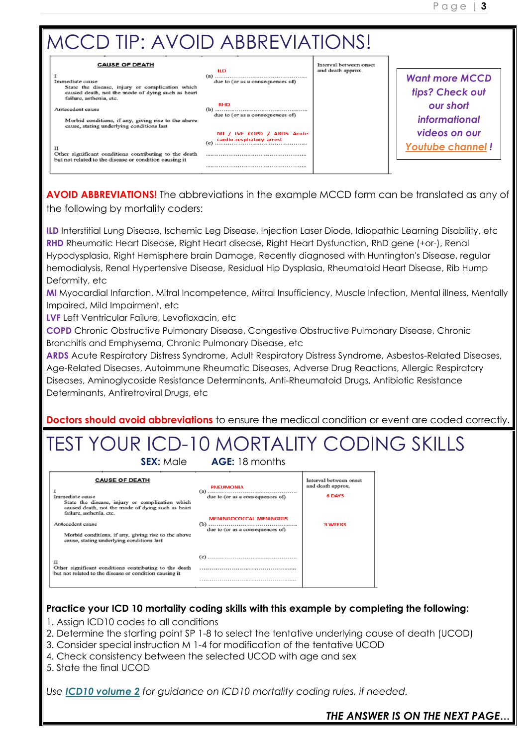

**AVOID ABBREVIATIONS!** The abbreviations in the example MCCD form can be translated as any of the following by mortality coders:

**ILD** Interstitial Lung Disease, Ischemic Leg Disease, Injection Laser Diode, Idiopathic Learning Disability, etc **RHD** Rheumatic Heart Disease, Right Heart disease, Right Heart Dysfunction, RhD gene (+or-), Renal Hypodysplasia, Right Hemisphere brain Damage, Recently diagnosed with Huntington's Disease, regular hemodialysis, Renal Hypertensive Disease, Residual Hip Dysplasia, Rheumatoid Heart Disease, Rib Hump Deformity, etc

**MI** Myocardial Infarction, Mitral Incompetence, Mitral Insufficiency, Muscle Infection, Mental illness, Mentally Impaired, Mild Impairment, etc

**LVF** Left Ventricular Failure, Levofloxacin, etc

**COPD** Chronic Obstructive Pulmonary Disease, Congestive Obstructive Pulmonary Disease, Chronic Bronchitis and Emphysema, Chronic Pulmonary Disease, etc

**ARDS** Acute Respiratory Distress Syndrome, Adult Respiratory Distress Syndrome, Asbestos-Related Diseases, Age-Related Diseases, Autoimmune Rheumatic Diseases, Adverse Drug Reactions, Allergic Respiratory Diseases, Aminoglycoside Resistance Determinants, Anti-Rheumatoid Drugs, Antibiotic Resistance Determinants, Antiretroviral Drugs, etc

**Doctors should avoid abbreviations** to ensure the medical condition or event are coded correctly.

### TEST YOUR ICD-10 MORTALITY CODING SKILLS **SEX:** Male **AGE:** 18 months

| <b>CAUSE OF DEATH</b><br>Immediate cause<br>State the disease, injury or complication which<br>caused death, not the mode of dying such as heart<br>failure, asthenia, etc.<br>Antecedent cause<br>Morbid conditions, if any, giving rise to the above<br>cause, stating underlying conditions last | <b>PNEUMONIA</b><br>due to (or as a consequences of)<br><b>MENINGOCOCCAL MENINGITIS</b><br>due to (or as a consequences of) | Interval between onset<br>and death approx.<br><b>6 DAYS</b><br><b>3 WEEKS</b> |
|-----------------------------------------------------------------------------------------------------------------------------------------------------------------------------------------------------------------------------------------------------------------------------------------------------|-----------------------------------------------------------------------------------------------------------------------------|--------------------------------------------------------------------------------|
| п<br>Other significant conditions contributing to the death<br>but not related to the disease or condition causing it                                                                                                                                                                               |                                                                                                                             |                                                                                |
|                                                                                                                                                                                                                                                                                                     |                                                                                                                             |                                                                                |

#### **Practice your ICD 10 mortality coding skills with this example by completing the following:**

- 1. Assign ICD10 codes to all conditions
- 2. Determine the starting point SP 1-8 to select the tentative underlying cause of death (UCOD)
- 3. Consider special instruction M 1-4 for modification of the tentative UCOD
- 4. Check consistency between the selected UCOD with age and sex
- 5. State the final UCOD

*Use ICD10 [volume](https://icd.who.int/browse10/Content/statichtml/ICD10Volume2_en_2019.pdf) 2 for guidance on ICD10 mortality coding rules, if needed.*

#### *THE ANSWER IS ON THE NEXT PAGE***…**